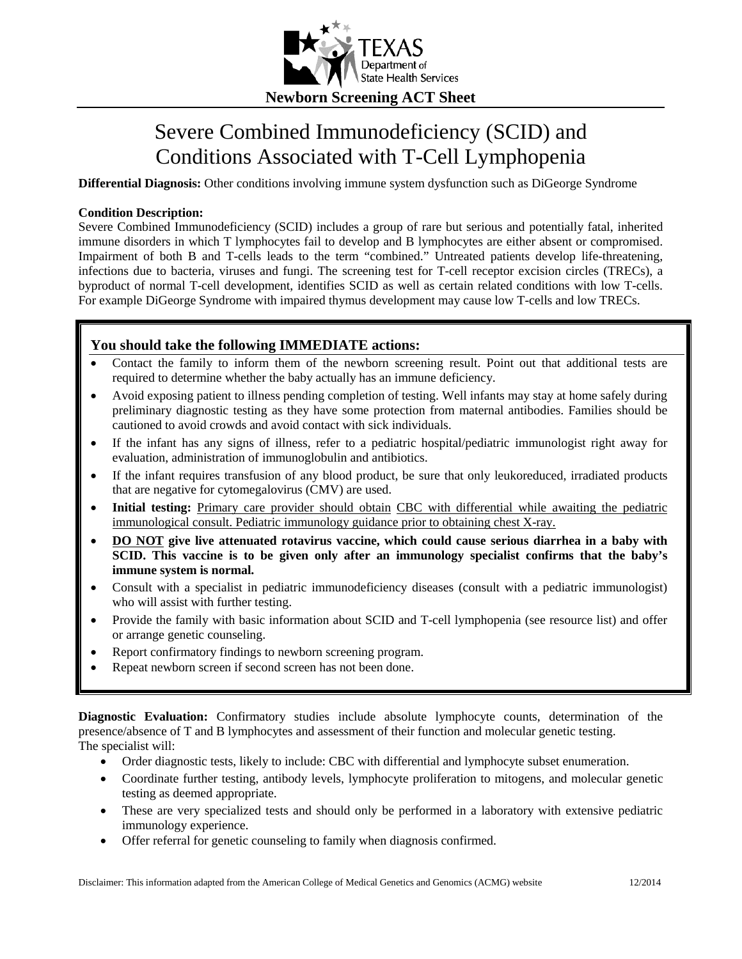

## Severe Combined Immunodeficiency (SCID) and Conditions Associated with T-Cell Lymphopenia

**Differential Diagnosis:** Other conditions involving immune system dysfunction such as DiGeorge Syndrome

### **Condition Description:**

Severe Combined Immunodeficiency (SCID) includes a group of rare but serious and potentially fatal, inherited immune disorders in which T lymphocytes fail to develop and B lymphocytes are either absent or compromised. Impairment of both B and T-cells leads to the term "combined." Untreated patients develop life-threatening, infections due to bacteria, viruses and fungi. The screening test for T-cell receptor excision circles (TRECs), a byproduct of normal T-cell development, identifies SCID as well as certain related conditions with low T-cells. For example DiGeorge Syndrome with impaired thymus development may cause low T-cells and low TRECs.

## **You should take the following IMMEDIATE actions:**

- Contact the family to inform them of the newborn screening result. Point out that additional tests are required to determine whether the baby actually has an immune deficiency.
- Avoid exposing patient to illness pending completion of testing. Well infants may stay at home safely during preliminary diagnostic testing as they have some protection from maternal antibodies. Families should be cautioned to avoid crowds and avoid contact with sick individuals.
- If the infant has any signs of illness, refer to a pediatric hospital/pediatric immunologist right away for evaluation, administration of immunoglobulin and antibiotics.
- If the infant requires transfusion of any blood product, be sure that only leukoreduced, irradiated products that are negative for cytomegalovirus (CMV) are used.
- **Initial testing:** Primary care provider should obtain CBC with differential while awaiting the pediatric immunological consult. Pediatric immunology guidance prior to obtaining chest X-ray.
- **DO NOT give live attenuated rotavirus vaccine, which could cause serious diarrhea in a baby with SCID. This vaccine is to be given only after an immunology specialist confirms that the baby's immune system is normal.**
- Consult with a specialist in pediatric immunodeficiency diseases (consult with a pediatric immunologist) who will assist with further testing.
- Provide the family with basic information about SCID and T-cell lymphopenia (see resource list) and offer or arrange genetic counseling.
- Report confirmatory findings to newborn screening program.
- Repeat newborn screen if second screen has not been done.

**Diagnostic Evaluation:** Confirmatory studies include absolute lymphocyte counts, determination of the presence/absence of T and B lymphocytes and assessment of their function and molecular genetic testing. The specialist will:

- Order diagnostic tests, likely to include: CBC with differential and lymphocyte subset enumeration.
- Coordinate further testing, antibody levels, lymphocyte proliferation to mitogens, and molecular genetic testing as deemed appropriate.
- These are very specialized tests and should only be performed in a laboratory with extensive pediatric immunology experience.
- Offer referral for genetic counseling to family when diagnosis confirmed.